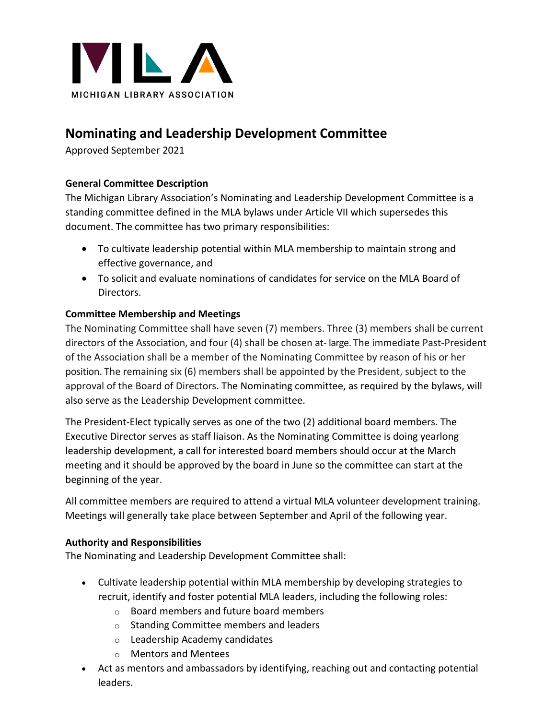

# **Nominating and Leadership Development Committee**

Approved September 2021

## **General Committee Description**

The Michigan Library Association's Nominating and Leadership Development Committee is a standing committee defined in the MLA bylaws under Article VII which supersedes this document. The committee has two primary responsibilities:

- To cultivate leadership potential within MLA membership to maintain strong and effective governance, and
- To solicit and evaluate nominations of candidates for service on the MLA Board of Directors.

## **Committee Membership and Meetings**

The Nominating Committee shall have seven (7) members. Three (3) members shall be current directors of the Association, and four (4) shall be chosen at- large. The immediate Past-President of the Association shall be a member of the Nominating Committee by reason of his or her position. The remaining six (6) members shall be appointed by the President, subject to the approval of the Board of Directors. The Nominating committee, as required by the bylaws, will also serve as the Leadership Development committee.

The President-Elect typically serves as one of the two (2) additional board members. The Executive Director serves as staff liaison. As the Nominating Committee is doing yearlong leadership development, a call for interested board members should occur at the March meeting and it should be approved by the board in June so the committee can start at the beginning of the year.

All committee members are required to attend a virtual MLA volunteer development training. Meetings will generally take place between September and April of the following year.

#### **Authority and Responsibilities**

The Nominating and Leadership Development Committee shall:

- Cultivate leadership potential within MLA membership by developing strategies to recruit, identify and foster potential MLA leaders, including the following roles:
	- o Board members and future board members
	- o Standing Committee members and leaders
	- o Leadership Academy candidates
	- o Mentors and Mentees
- Act as mentors and ambassadors by identifying, reaching out and contacting potential leaders.